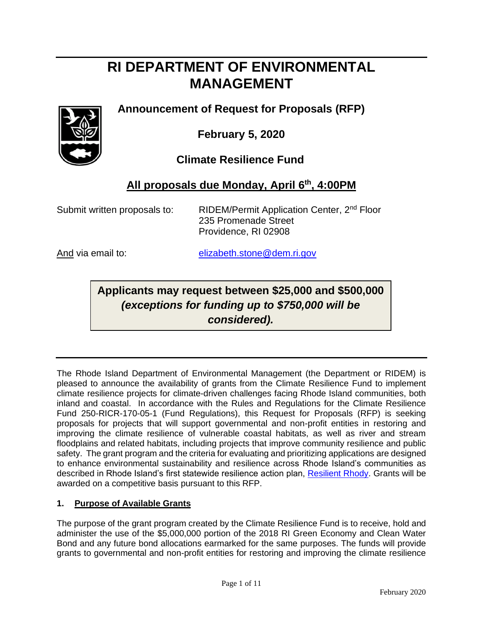# **RI DEPARTMENT OF ENVIRONMENTAL MANAGEMENT**

# **Announcement of Request for Proposals (RFP)**



**February 5, 2020**

 **Climate Resilience Fund** 

# **All proposals due Monday, April 6 th, 4:00PM**

Submit written proposals to: RIDEM/Permit Application Center, 2<sup>nd</sup> Floor 235 Promenade Street Providence, RI 02908

And via email to: [elizabeth.stone@dem.ri.gov](mailto:elizabeth.stone@dem.ri.gov)

# **Applicants may request between \$25,000 and \$500,000**  *(exceptions for funding up to \$750,000 will be considered).*

The Rhode Island Department of Environmental Management (the Department or RIDEM) is pleased to announce the availability of grants from the Climate Resilience Fund to implement climate resilience projects for climate-driven challenges facing Rhode Island communities, both inland and coastal. In accordance with the Rules and Regulations for the Climate Resilience Fund 250-RICR-170-05-1 (Fund Regulations), this Request for Proposals (RFP) is seeking proposals for projects that will support governmental and non-profit entities in restoring and improving the climate resilience of vulnerable coastal habitats, as well as river and stream floodplains and related habitats, including projects that improve community resilience and public safety. The grant program and the criteria for evaluating and prioritizing applications are designed to enhance environmental sustainability and resilience across Rhode Island's communities as described in Rhode Island's first statewide resilience action plan, [Resilient Rhody.](http://climatechange.ri.gov/resiliency/) Grants will be awarded on a competitive basis pursuant to this RFP.

# **1. Purpose of Available Grants**

The purpose of the grant program created by the Climate Resilience Fund is to receive, hold and administer the use of the \$5,000,000 portion of the 2018 RI Green Economy and Clean Water Bond and any future bond allocations earmarked for the same purposes. The funds will provide grants to governmental and non-profit entities for restoring and improving the climate resilience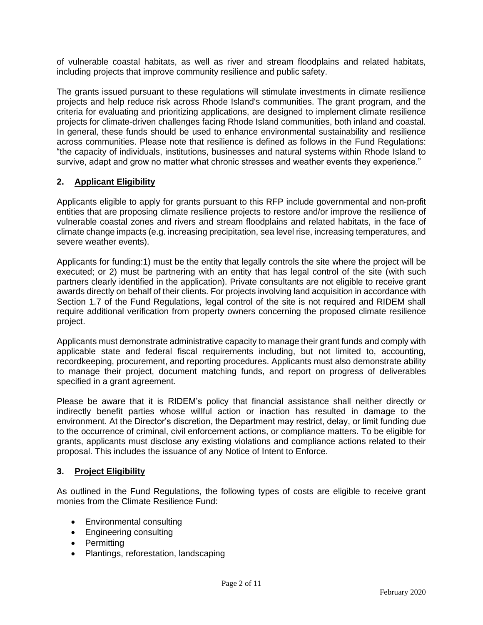of vulnerable coastal habitats, as well as river and stream floodplains and related habitats, including projects that improve community resilience and public safety.

The grants issued pursuant to these regulations will stimulate investments in climate resilience projects and help reduce risk across Rhode Island's communities. The grant program, and the criteria for evaluating and prioritizing applications, are designed to implement climate resilience projects for climate-driven challenges facing Rhode Island communities, both inland and coastal. In general, these funds should be used to enhance environmental sustainability and resilience across communities. Please note that resilience is defined as follows in the Fund Regulations: "the capacity of individuals, institutions, businesses and natural systems within Rhode Island to survive, adapt and grow no matter what chronic stresses and weather events they experience."

# **2. Applicant Eligibility**

Applicants eligible to apply for grants pursuant to this RFP include governmental and non-profit entities that are proposing climate resilience projects to restore and/or improve the resilience of vulnerable coastal zones and rivers and stream floodplains and related habitats, in the face of climate change impacts (e.g. increasing precipitation, sea level rise, increasing temperatures, and severe weather events).

Applicants for funding:1) must be the entity that legally controls the site where the project will be executed; or 2) must be partnering with an entity that has legal control of the site (with such partners clearly identified in the application). Private consultants are not eligible to receive grant awards directly on behalf of their clients. For projects involving land acquisition in accordance with Section 1.7 of the Fund Regulations, legal control of the site is not required and RIDEM shall require additional verification from property owners concerning the proposed climate resilience project.

Applicants must demonstrate administrative capacity to manage their grant funds and comply with applicable state and federal fiscal requirements including, but not limited to, accounting, recordkeeping, procurement, and reporting procedures. Applicants must also demonstrate ability to manage their project, document matching funds, and report on progress of deliverables specified in a grant agreement.

Please be aware that it is RIDEM's policy that financial assistance shall neither directly or indirectly benefit parties whose willful action or inaction has resulted in damage to the environment. At the Director's discretion, the Department may restrict, delay, or limit funding due to the occurrence of criminal, civil enforcement actions, or compliance matters. To be eligible for grants, applicants must disclose any existing violations and compliance actions related to their proposal. This includes the issuance of any Notice of Intent to Enforce.

#### **3. Project Eligibility**

As outlined in the Fund Regulations, the following types of costs are eligible to receive grant monies from the Climate Resilience Fund:

- Environmental consulting
- Engineering consulting
- Permitting
- Plantings, reforestation, landscaping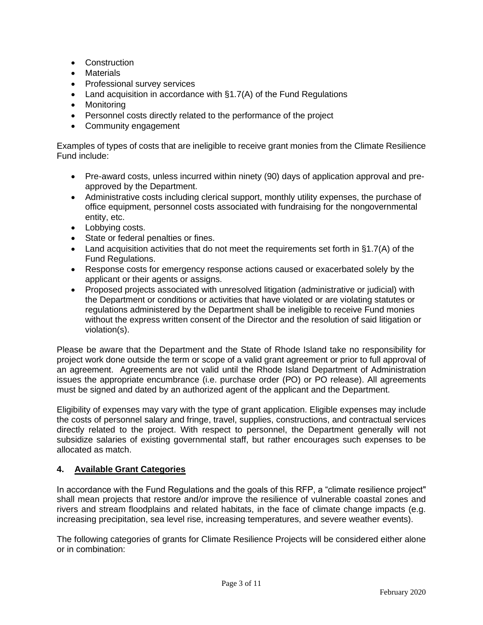- Construction
- **Materials**
- Professional survey services
- Land acquisition in accordance with §1.7(A) of the Fund Regulations
- Monitoring
- Personnel costs directly related to the performance of the project
- Community engagement

Examples of types of costs that are ineligible to receive grant monies from the Climate Resilience Fund include:

- Pre-award costs, unless incurred within ninety (90) days of application approval and preapproved by the Department.
- Administrative costs including clerical support, monthly utility expenses, the purchase of office equipment, personnel costs associated with fundraising for the nongovernmental entity, etc.
- Lobbying costs.
- State or federal penalties or fines.
- Land acquisition activities that do not meet the requirements set forth in §1.7(A) of the Fund Regulations.
- Response costs for emergency response actions caused or exacerbated solely by the applicant or their agents or assigns.
- Proposed projects associated with unresolved litigation (administrative or judicial) with the Department or conditions or activities that have violated or are violating statutes or regulations administered by the Department shall be ineligible to receive Fund monies without the express written consent of the Director and the resolution of said litigation or violation(s).

Please be aware that the Department and the State of Rhode Island take no responsibility for project work done outside the term or scope of a valid grant agreement or prior to full approval of an agreement. Agreements are not valid until the Rhode Island Department of Administration issues the appropriate encumbrance (i.e. purchase order (PO) or PO release). All agreements must be signed and dated by an authorized agent of the applicant and the Department.

Eligibility of expenses may vary with the type of grant application. Eligible expenses may include the costs of personnel salary and fringe, travel, supplies, constructions, and contractual services directly related to the project. With respect to personnel, the Department generally will not subsidize salaries of existing governmental staff, but rather encourages such expenses to be allocated as match.

#### **4. Available Grant Categories**

In accordance with the Fund Regulations and the goals of this RFP, a "climate resilience project" shall mean projects that restore and/or improve the resilience of vulnerable coastal zones and rivers and stream floodplains and related habitats, in the face of climate change impacts (e.g. increasing precipitation, sea level rise, increasing temperatures, and severe weather events).

The following categories of grants for Climate Resilience Projects will be considered either alone or in combination: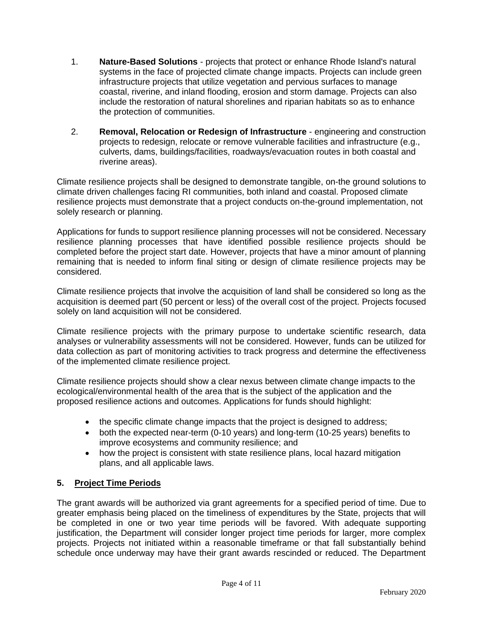- 1. **Nature-Based Solutions** projects that protect or enhance Rhode Island's natural systems in the face of projected climate change impacts. Projects can include green infrastructure projects that utilize vegetation and pervious surfaces to manage coastal, riverine, and inland flooding, erosion and storm damage. Projects can also include the restoration of natural shorelines and riparian habitats so as to enhance the protection of communities.
- 2. **Removal, Relocation or Redesign of Infrastructure** engineering and construction projects to redesign, relocate or remove vulnerable facilities and infrastructure (e.g., culverts, dams, buildings/facilities, roadways/evacuation routes in both coastal and riverine areas).

Climate resilience projects shall be designed to demonstrate tangible, on-the ground solutions to climate driven challenges facing RI communities, both inland and coastal. Proposed climate resilience projects must demonstrate that a project conducts on-the-ground implementation, not solely research or planning.

Applications for funds to support resilience planning processes will not be considered. Necessary resilience planning processes that have identified possible resilience projects should be completed before the project start date. However, projects that have a minor amount of planning remaining that is needed to inform final siting or design of climate resilience projects may be considered.

Climate resilience projects that involve the acquisition of land shall be considered so long as the acquisition is deemed part (50 percent or less) of the overall cost of the project. Projects focused solely on land acquisition will not be considered.

Climate resilience projects with the primary purpose to undertake scientific research, data analyses or vulnerability assessments will not be considered. However, funds can be utilized for data collection as part of monitoring activities to track progress and determine the effectiveness of the implemented climate resilience project.

Climate resilience projects should show a clear nexus between climate change impacts to the ecological/environmental health of the area that is the subject of the application and the proposed resilience actions and outcomes. Applications for funds should highlight:

- the specific climate change impacts that the project is designed to address;
- both the expected near-term (0-10 years) and long-term (10-25 years) benefits to improve ecosystems and community resilience; and
- how the project is consistent with state resilience plans, local hazard mitigation plans, and all applicable laws.

# **5. Project Time Periods**

The grant awards will be authorized via grant agreements for a specified period of time. Due to greater emphasis being placed on the timeliness of expenditures by the State, projects that will be completed in one or two year time periods will be favored. With adequate supporting justification, the Department will consider longer project time periods for larger, more complex projects. Projects not initiated within a reasonable timeframe or that fall substantially behind schedule once underway may have their grant awards rescinded or reduced. The Department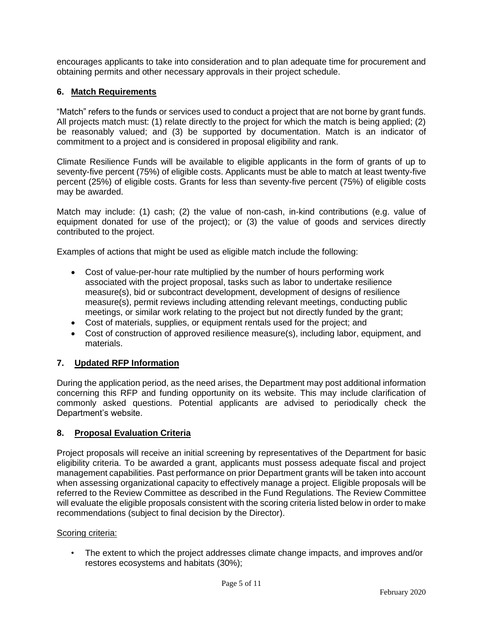encourages applicants to take into consideration and to plan adequate time for procurement and obtaining permits and other necessary approvals in their project schedule.

# **6. Match Requirements**

"Match" refers to the funds or services used to conduct a project that are not borne by grant funds. All projects match must: (1) relate directly to the project for which the match is being applied; (2) be reasonably valued; and (3) be supported by documentation. Match is an indicator of commitment to a project and is considered in proposal eligibility and rank.

Climate Resilience Funds will be available to eligible applicants in the form of grants of up to seventy-five percent (75%) of eligible costs. Applicants must be able to match at least twenty-five percent (25%) of eligible costs. Grants for less than seventy-five percent (75%) of eligible costs may be awarded.

Match may include: (1) cash; (2) the value of non-cash, in-kind contributions (e.g. value of equipment donated for use of the project); or (3) the value of goods and services directly contributed to the project.

Examples of actions that might be used as eligible match include the following:

- Cost of value-per-hour rate multiplied by the number of hours performing work associated with the project proposal, tasks such as labor to undertake resilience measure(s), bid or subcontract development, development of designs of resilience measure(s), permit reviews including attending relevant meetings, conducting public meetings, or similar work relating to the project but not directly funded by the grant;
- Cost of materials, supplies, or equipment rentals used for the project; and
- Cost of construction of approved resilience measure(s), including labor, equipment, and materials.

# **7. Updated RFP Information**

During the application period, as the need arises, the Department may post additional information concerning this RFP and funding opportunity on its website. This may include clarification of commonly asked questions. Potential applicants are advised to periodically check the Department's website.

#### **8. Proposal Evaluation Criteria**

Project proposals will receive an initial screening by representatives of the Department for basic eligibility criteria. To be awarded a grant, applicants must possess adequate fiscal and project management capabilities. Past performance on prior Department grants will be taken into account when assessing organizational capacity to effectively manage a project. Eligible proposals will be referred to the Review Committee as described in the Fund Regulations. The Review Committee will evaluate the eligible proposals consistent with the scoring criteria listed below in order to make recommendations (subject to final decision by the Director).

#### Scoring criteria:

• The extent to which the project addresses climate change impacts, and improves and/or restores ecosystems and habitats (30%);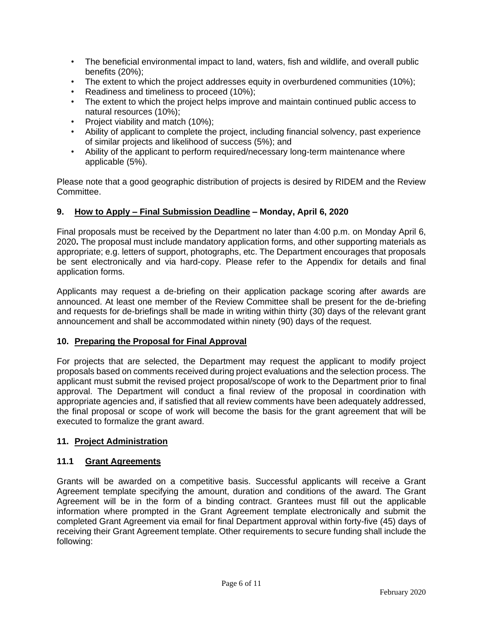- The beneficial environmental impact to land, waters, fish and wildlife, and overall public benefits (20%);
- The extent to which the project addresses equity in overburdened communities (10%);
- Readiness and timeliness to proceed (10%);
- The extent to which the project helps improve and maintain continued public access to natural resources (10%);
- Project viability and match (10%);
- Ability of applicant to complete the project, including financial solvency, past experience of similar projects and likelihood of success (5%); and
- Ability of the applicant to perform required/necessary long-term maintenance where applicable (5%).

Please note that a good geographic distribution of projects is desired by RIDEM and the Review Committee.

# **9. How to Apply – Final Submission Deadline – Monday, April 6, 2020**

Final proposals must be received by the Department no later than 4:00 p.m. on Monday April 6, 2020**.** The proposal must include mandatory application forms, and other supporting materials as appropriate; e.g. letters of support, photographs, etc. The Department encourages that proposals be sent electronically and via hard-copy. Please refer to the Appendix for details and final application forms.

Applicants may request a de-briefing on their application package scoring after awards are announced. At least one member of the Review Committee shall be present for the de-briefing and requests for de-briefings shall be made in writing within thirty (30) days of the relevant grant announcement and shall be accommodated within ninety (90) days of the request.

# **10. Preparing the Proposal for Final Approval**

For projects that are selected, the Department may request the applicant to modify project proposals based on comments received during project evaluations and the selection process. The applicant must submit the revised project proposal/scope of work to the Department prior to final approval. The Department will conduct a final review of the proposal in coordination with appropriate agencies and, if satisfied that all review comments have been adequately addressed, the final proposal or scope of work will become the basis for the grant agreement that will be executed to formalize the grant award.

# **11. Project Administration**

# **11.1 Grant Agreements**

Grants will be awarded on a competitive basis. Successful applicants will receive a Grant Agreement template specifying the amount, duration and conditions of the award. The Grant Agreement will be in the form of a binding contract. Grantees must fill out the applicable information where prompted in the Grant Agreement template electronically and submit the completed Grant Agreement via email for final Department approval within forty-five (45) days of receiving their Grant Agreement template. Other requirements to secure funding shall include the following: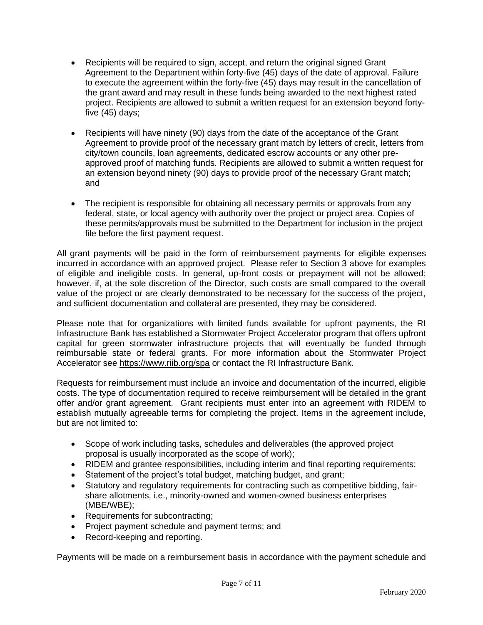- Recipients will be required to sign, accept, and return the original signed Grant Agreement to the Department within forty-five (45) days of the date of approval. Failure to execute the agreement within the forty-five (45) days may result in the cancellation of the grant award and may result in these funds being awarded to the next highest rated project. Recipients are allowed to submit a written request for an extension beyond fortyfive (45) days;
- Recipients will have ninety (90) days from the date of the acceptance of the Grant Agreement to provide proof of the necessary grant match by letters of credit, letters from city/town councils, loan agreements, dedicated escrow accounts or any other preapproved proof of matching funds. Recipients are allowed to submit a written request for an extension beyond ninety (90) days to provide proof of the necessary Grant match; and
- The recipient is responsible for obtaining all necessary permits or approvals from any federal, state, or local agency with authority over the project or project area. Copies of these permits/approvals must be submitted to the Department for inclusion in the project file before the first payment request.

All grant payments will be paid in the form of reimbursement payments for eligible expenses incurred in accordance with an approved project. Please refer to Section 3 above for examples of eligible and ineligible costs. In general, up-front costs or prepayment will not be allowed; however, if, at the sole discretion of the Director, such costs are small compared to the overall value of the project or are clearly demonstrated to be necessary for the success of the project, and sufficient documentation and collateral are presented, they may be considered.

Please note that for organizations with limited funds available for upfront payments, the RI Infrastructure Bank has established a Stormwater Project Accelerator program that offers upfront capital for green stormwater infrastructure projects that will eventually be funded through reimbursable state or federal grants. For more information about the Stormwater Project Accelerator see<https://www.riib.org/spa> or contact the RI Infrastructure Bank.

Requests for reimbursement must include an invoice and documentation of the incurred, eligible costs. The type of documentation required to receive reimbursement will be detailed in the grant offer and/or grant agreement. Grant recipients must enter into an agreement with RIDEM to establish mutually agreeable terms for completing the project. Items in the agreement include, but are not limited to:

- Scope of work including tasks, schedules and deliverables (the approved project proposal is usually incorporated as the scope of work);
- RIDEM and grantee responsibilities, including interim and final reporting requirements;
- Statement of the project's total budget, matching budget, and grant;
- Statutory and regulatory requirements for contracting such as competitive bidding, fairshare allotments, i.e., minority-owned and women-owned business enterprises (MBE/WBE);
- Requirements for subcontracting;
- Project payment schedule and payment terms; and
- Record-keeping and reporting.

Payments will be made on a reimbursement basis in accordance with the payment schedule and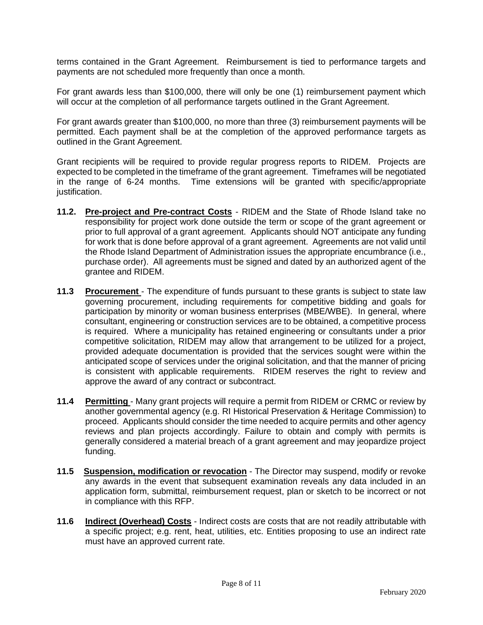terms contained in the Grant Agreement. Reimbursement is tied to performance targets and payments are not scheduled more frequently than once a month.

For grant awards less than \$100,000, there will only be one (1) reimbursement payment which will occur at the completion of all performance targets outlined in the Grant Agreement.

For grant awards greater than \$100,000, no more than three (3) reimbursement payments will be permitted. Each payment shall be at the completion of the approved performance targets as outlined in the Grant Agreement.

Grant recipients will be required to provide regular progress reports to RIDEM. Projects are expected to be completed in the timeframe of the grant agreement. Timeframes will be negotiated in the range of 6-24 months. Time extensions will be granted with specific/appropriate justification.

- **11.2. Pre-project and Pre-contract Costs** RIDEM and the State of Rhode Island take no responsibility for project work done outside the term or scope of the grant agreement or prior to full approval of a grant agreement. Applicants should NOT anticipate any funding for work that is done before approval of a grant agreement. Agreements are not valid until the Rhode Island Department of Administration issues the appropriate encumbrance (i.e., purchase order). All agreements must be signed and dated by an authorized agent of the grantee and RIDEM.
- **11.3 Procurement**  The expenditure of funds pursuant to these grants is subject to state law governing procurement, including requirements for competitive bidding and goals for participation by minority or woman business enterprises (MBE/WBE). In general, where consultant, engineering or construction services are to be obtained, a competitive process is required. Where a municipality has retained engineering or consultants under a prior competitive solicitation, RIDEM may allow that arrangement to be utilized for a project, provided adequate documentation is provided that the services sought were within the anticipated scope of services under the original solicitation, and that the manner of pricing is consistent with applicable requirements. RIDEM reserves the right to review and approve the award of any contract or subcontract.
- **11.4 Permitting**  Many grant projects will require a permit from RIDEM or CRMC or review by another governmental agency (e.g. RI Historical Preservation & Heritage Commission) to proceed. Applicants should consider the time needed to acquire permits and other agency reviews and plan projects accordingly. Failure to obtain and comply with permits is generally considered a material breach of a grant agreement and may jeopardize project funding.
- **11.5 Suspension, modification or revocation** The Director may suspend, modify or revoke any awards in the event that subsequent examination reveals any data included in an application form, submittal, reimbursement request, plan or sketch to be incorrect or not in compliance with this RFP.
- **11.6 Indirect (Overhead) Costs** Indirect costs are costs that are not readily attributable with a specific project; e.g. rent, heat, utilities, etc. Entities proposing to use an indirect rate must have an approved current rate.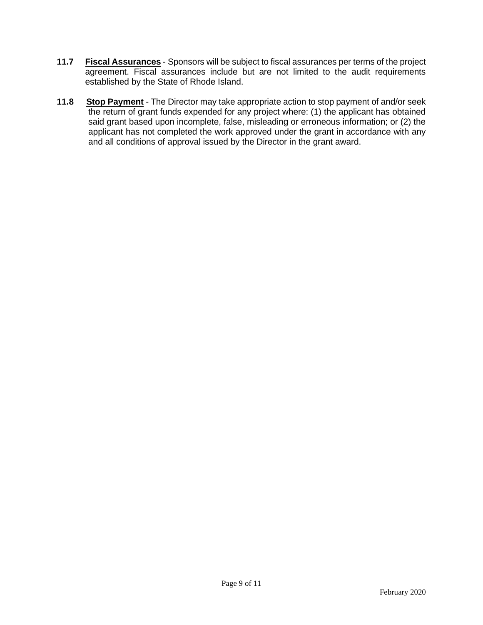- **11.7 Fiscal Assurances** Sponsors will be subject to fiscal assurances per terms of the project agreement. Fiscal assurances include but are not limited to the audit requirements established by the State of Rhode Island.
- **11.8 Stop Payment** The Director may take appropriate action to stop payment of and/or seek the return of grant funds expended for any project where: (1) the applicant has obtained said grant based upon incomplete, false, misleading or erroneous information; or (2) the applicant has not completed the work approved under the grant in accordance with any and all conditions of approval issued by the Director in the grant award.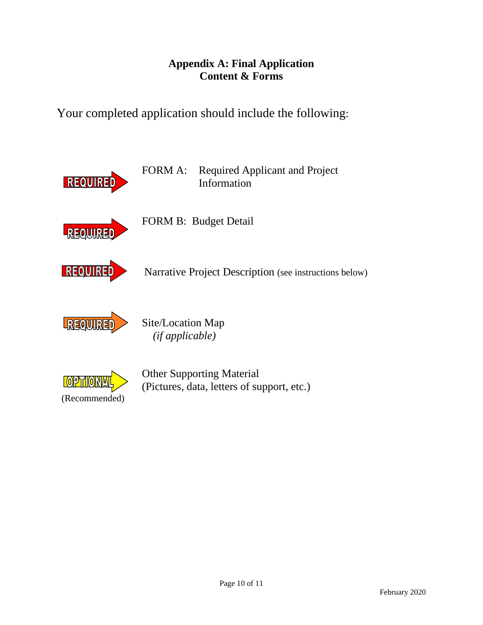# **Appendix A: Final Application Content & Forms**

Your completed application should include the following:

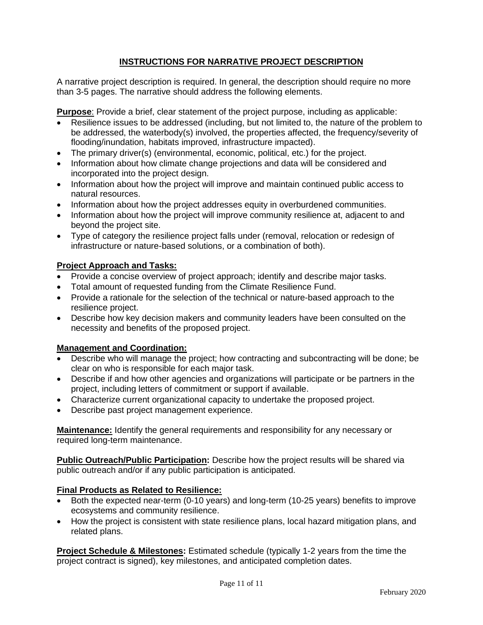# **INSTRUCTIONS FOR NARRATIVE PROJECT DESCRIPTION**

A narrative project description is required. In general, the description should require no more than 3-5 pages. The narrative should address the following elements.

**Purpose**: Provide a brief, clear statement of the project purpose, including as applicable:

- Resilience issues to be addressed (including, but not limited to, the nature of the problem to be addressed, the waterbody(s) involved, the properties affected, the frequency/severity of flooding/inundation, habitats improved, infrastructure impacted).
- The primary driver(s) (environmental, economic, political, etc.) for the project.
- Information about how climate change projections and data will be considered and incorporated into the project design.
- Information about how the project will improve and maintain continued public access to natural resources.
- Information about how the project addresses equity in overburdened communities.
- Information about how the project will improve community resilience at, adjacent to and beyond the project site.
- Type of category the resilience project falls under (removal, relocation or redesign of infrastructure or nature-based solutions, or a combination of both).

#### **Project Approach and Tasks:**

- Provide a concise overview of project approach; identify and describe major tasks.
- Total amount of requested funding from the Climate Resilience Fund.
- Provide a rationale for the selection of the technical or nature-based approach to the resilience project.
- Describe how key decision makers and community leaders have been consulted on the necessity and benefits of the proposed project.

#### **Management and Coordination:**

- Describe who will manage the project; how contracting and subcontracting will be done; be clear on who is responsible for each major task.
- Describe if and how other agencies and organizations will participate or be partners in the project, including letters of commitment or support if available.
- Characterize current organizational capacity to undertake the proposed project.
- Describe past project management experience.

**Maintenance:** Identify the general requirements and responsibility for any necessary or required long-term maintenance.

**Public Outreach/Public Participation:** Describe how the project results will be shared via public outreach and/or if any public participation is anticipated.

#### **Final Products as Related to Resilience:**

- Both the expected near-term (0-10 years) and long-term (10-25 years) benefits to improve ecosystems and community resilience.
- How the project is consistent with state resilience plans, local hazard mitigation plans, and related plans.

**Project Schedule & Milestones:** Estimated schedule (typically 1-2 years from the time the project contract is signed), key milestones, and anticipated completion dates.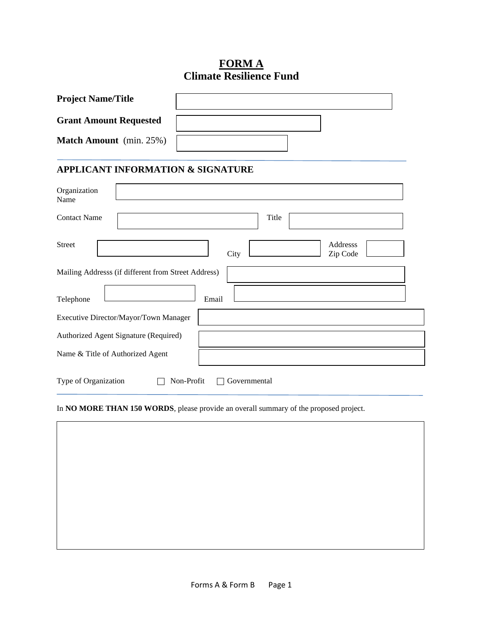# **FORM A Climate Resilience Fund**

| <b>Project Name/Title</b>     |                                |                                              |  |  |
|-------------------------------|--------------------------------|----------------------------------------------|--|--|
| <b>Grant Amount Requested</b> |                                |                                              |  |  |
|                               | <b>Match Amount</b> (min. 25%) |                                              |  |  |
|                               |                                | <b>APPLICANT INFORMATION &amp; SIGNATURE</b> |  |  |
| Organization<br>Name          |                                |                                              |  |  |
|                               |                                |                                              |  |  |

| <b>Contact Name</b>              |                                                     |       |              | Title |                      |  |
|----------------------------------|-----------------------------------------------------|-------|--------------|-------|----------------------|--|
| <b>Street</b>                    |                                                     |       | City         |       | Addresss<br>Zip Code |  |
|                                  | Mailing Addresss (if different from Street Address) |       |              |       |                      |  |
| Telephone                        |                                                     | Email |              |       |                      |  |
|                                  | Executive Director/Mayor/Town Manager               |       |              |       |                      |  |
|                                  | Authorized Agent Signature (Required)               |       |              |       |                      |  |
| Name & Title of Authorized Agent |                                                     |       |              |       |                      |  |
| Type of Organization             | Non-Profit                                          |       | Governmental |       |                      |  |

In **NO MORE THAN 150 WORDS**, please provide an overall summary of the proposed project.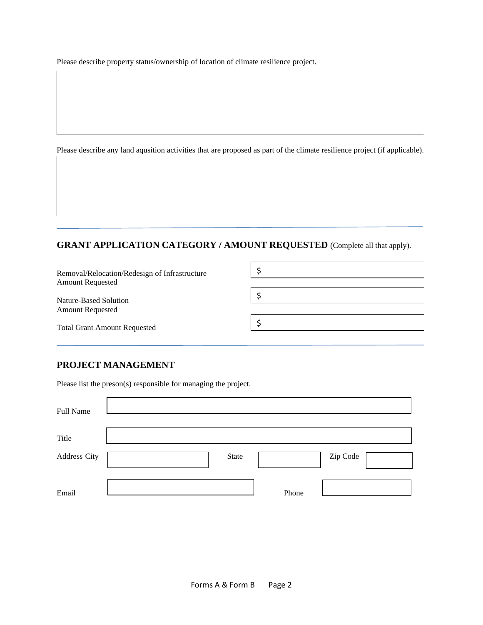Please describe property status/ownership of location of climate resilience project.

Please describe any land aqusition activities that are proposed as part of the climate resilience project (if applicable).

# **GRANT APPLICATION CATEGORY / AMOUNT REQUESTED** (Complete all that apply).

| Removal/Relocation/Redesign of Infrastructure<br><b>Amount Requested</b><br><b>Amount Requested</b> |  |
|-----------------------------------------------------------------------------------------------------|--|
| Nature-Based Solution                                                                               |  |
|                                                                                                     |  |
| <b>Total Grant Amount Requested</b>                                                                 |  |

# **PROJECT MANAGEMENT**

Please list the preson(s) responsible for managing the project.

| Full Name    |       |       |          |
|--------------|-------|-------|----------|
| Title        |       |       |          |
| Address City | State |       | Zip Code |
| Email        |       | Phone |          |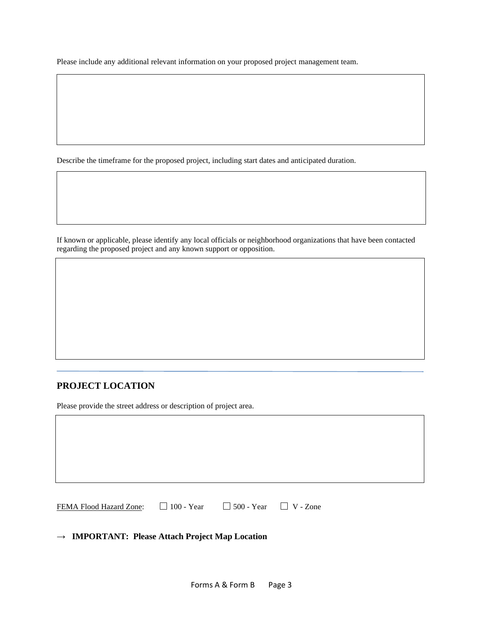Please include any additional relevant information on your proposed project management team.

Describe the timeframe for the proposed project, including start dates and anticipated duration.

If known or applicable, please identify any local officials or neighborhood organizations that have been contacted regarding the proposed project and any known support or opposition.

#### **PROJECT LOCATION**

Please provide the street address or description of project area.

| FEMA Flood Hazard Zone: $\Box$ 100 - Year $\Box$ 500 - Year $\Box$ V - Zone |  |  |
|-----------------------------------------------------------------------------|--|--|

#### **→ IMPORTANT: Please Attach Project Map Location**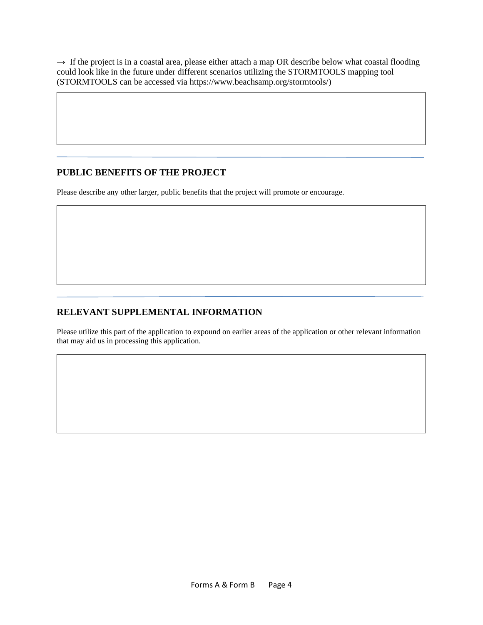→ If the project is in a coastal area, please either attach a map OR describe below what coastal flooding could look like in the future under different scenarios utilizing the STORMTOOLS mapping tool (STORMTOOLS can be accessed via [https://www.beachsamp.org/stormtools/\)](https://www.beachsamp.org/stormtools/)

#### **PUBLIC BENEFITS OF THE PROJECT**

Please describe any other larger, public benefits that the project will promote or encourage.

### **RELEVANT SUPPLEMENTAL INFORMATION**

Please utilize this part of the application to expound on earlier areas of the application or other relevant information that may aid us in processing this application.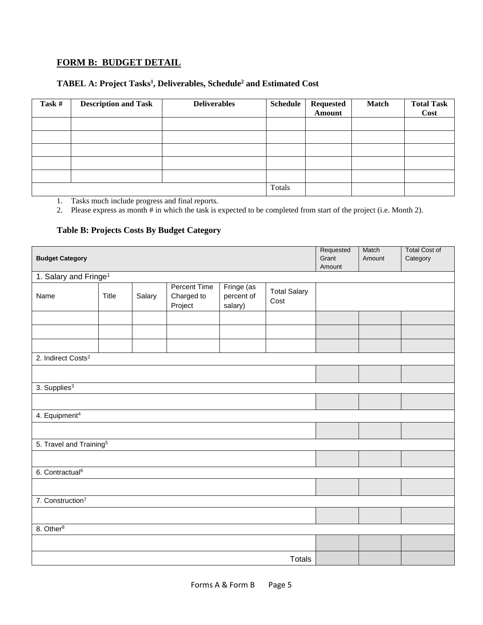# **FORM B: BUDGET DETAIL**

#### **TABEL A: Project Tasks<sup>1</sup> , Deliverables, Schedule<sup>2</sup> and Estimated Cost**

| Task # | <b>Description and Task</b> | <b>Deliverables</b> | Schedule | <b>Requested</b><br>Amount | <b>Match</b> | <b>Total Task</b><br>Cost |
|--------|-----------------------------|---------------------|----------|----------------------------|--------------|---------------------------|
|        |                             |                     |          |                            |              |                           |
|        |                             |                     |          |                            |              |                           |
|        |                             |                     |          |                            |              |                           |
|        |                             |                     |          |                            |              |                           |
|        |                             |                     |          |                            |              |                           |
|        |                             |                     | Totals   |                            |              |                           |

1. Tasks much include progress and final reports.

2. Please express as month # in which the task is expected to be completed from start of the project (i.e. Month 2).

#### **Table B: Projects Costs By Budget Category**

| <b>Budget Category</b>              |                                   |        |                                              |                                     | Requested<br>Grant<br>Amount | Match<br>Amount | <b>Total Cost of</b><br>Category |  |
|-------------------------------------|-----------------------------------|--------|----------------------------------------------|-------------------------------------|------------------------------|-----------------|----------------------------------|--|
|                                     | 1. Salary and Fringe <sup>1</sup> |        |                                              |                                     |                              |                 |                                  |  |
| Name                                | Title                             | Salary | <b>Percent Time</b><br>Charged to<br>Project | Fringe (as<br>percent of<br>salary) | <b>Total Salary</b><br>Cost  |                 |                                  |  |
|                                     |                                   |        |                                              |                                     |                              |                 |                                  |  |
|                                     |                                   |        |                                              |                                     |                              |                 |                                  |  |
|                                     |                                   |        |                                              |                                     |                              |                 |                                  |  |
| 2. Indirect Costs <sup>2</sup>      |                                   |        |                                              |                                     |                              |                 |                                  |  |
|                                     |                                   |        |                                              |                                     |                              |                 |                                  |  |
| 3. Supplies <sup>3</sup>            |                                   |        |                                              |                                     |                              |                 |                                  |  |
|                                     |                                   |        |                                              |                                     |                              |                 |                                  |  |
| 4. Equipment <sup>4</sup>           |                                   |        |                                              |                                     |                              |                 |                                  |  |
|                                     |                                   |        |                                              |                                     |                              |                 |                                  |  |
| 5. Travel and Training <sup>5</sup> |                                   |        |                                              |                                     |                              |                 |                                  |  |
|                                     |                                   |        |                                              |                                     |                              |                 |                                  |  |
| 6. Contractual <sup>6</sup>         |                                   |        |                                              |                                     |                              |                 |                                  |  |
|                                     |                                   |        |                                              |                                     |                              |                 |                                  |  |
| 7. Construction <sup>7</sup>        |                                   |        |                                              |                                     |                              |                 |                                  |  |
|                                     |                                   |        |                                              |                                     |                              |                 |                                  |  |
| 8. Other <sup>8</sup>               |                                   |        |                                              |                                     |                              |                 |                                  |  |
|                                     |                                   |        |                                              |                                     |                              |                 |                                  |  |
| <b>Totals</b>                       |                                   |        |                                              |                                     |                              |                 |                                  |  |